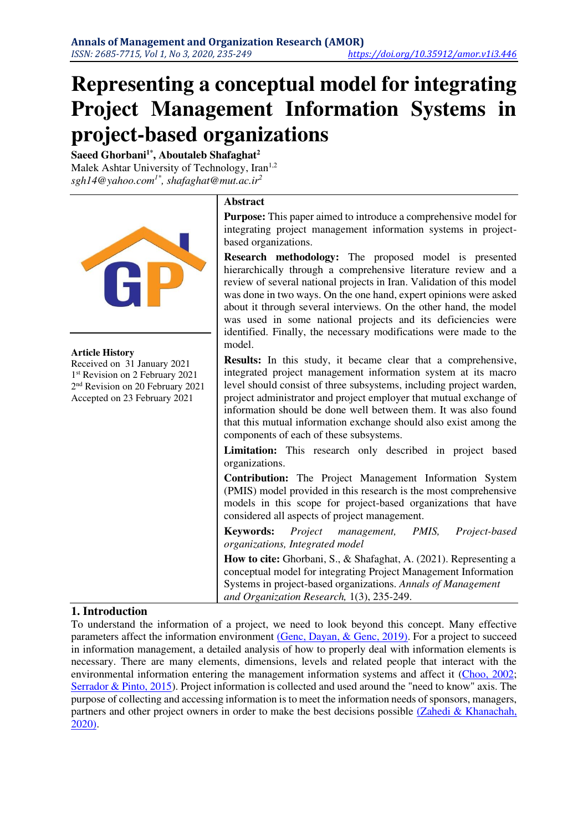# **Representing a conceptual model for integrating Project Management Information Systems in project-based organizations**

**Saeed Ghorbani1\*, Aboutaleb Shafaghat<sup>2</sup>** Malek Ashtar University of Technology, Iran<sup>1,2</sup> *sgh14@yahoo.com1\*, shafaghat@mut.ac.ir<sup>2</sup>*

|                                                                                                                                                                                      | <b>Abstract</b>                                                                                                                                                                                                                                                                                                                                                                                                                                                                           |
|--------------------------------------------------------------------------------------------------------------------------------------------------------------------------------------|-------------------------------------------------------------------------------------------------------------------------------------------------------------------------------------------------------------------------------------------------------------------------------------------------------------------------------------------------------------------------------------------------------------------------------------------------------------------------------------------|
|                                                                                                                                                                                      | <b>Purpose:</b> This paper aimed to introduce a comprehensive model for<br>integrating project management information systems in project-<br>based organizations.                                                                                                                                                                                                                                                                                                                         |
|                                                                                                                                                                                      | Research methodology: The proposed model is presented<br>hierarchically through a comprehensive literature review and a<br>review of several national projects in Iran. Validation of this model<br>was done in two ways. On the one hand, expert opinions were asked<br>about it through several interviews. On the other hand, the model<br>was used in some national projects and its deficiencies were<br>identified. Finally, the necessary modifications were made to the<br>model. |
| <b>Article History</b><br>Received on 31 January 2021<br>1 <sup>st</sup> Revision on 2 February 2021<br>2 <sup>nd</sup> Revision on 20 February 2021<br>Accepted on 23 February 2021 | Results: In this study, it became clear that a comprehensive,<br>integrated project management information system at its macro<br>level should consist of three subsystems, including project warden,<br>project administrator and project employer that mutual exchange of<br>information should be done well between them. It was also found<br>that this mutual information exchange should also exist among the<br>components of each of these subsystems.                            |
|                                                                                                                                                                                      | Limitation: This research only described in project based<br>organizations.                                                                                                                                                                                                                                                                                                                                                                                                               |
|                                                                                                                                                                                      | <b>Contribution:</b> The Project Management Information System<br>(PMIS) model provided in this research is the most comprehensive<br>models in this scope for project-based organizations that have<br>considered all aspects of project management.                                                                                                                                                                                                                                     |
|                                                                                                                                                                                      | <b>Keywords:</b><br>PMIS,<br>Project<br>Project-based<br>management,<br>organizations, Integrated model                                                                                                                                                                                                                                                                                                                                                                                   |
|                                                                                                                                                                                      | How to cite: Ghorbani, S., & Shafaghat, A. (2021). Representing a<br>conceptual model for integrating Project Management Information<br>Systems in project-based organizations. Annals of Management<br>and Organization Research, 1(3), 235-249.                                                                                                                                                                                                                                         |

## **1. Introduction**

To understand the information of a project, we need to look beyond this concept. Many effective parameters affect the information environment [\(Genc, Dayan, & Genc, 2019\).](#page-13-0) For a project to succeed in information management, a detailed analysis of how to properly deal with information elements is necessary. There are many elements, dimensions, levels and related people that interact with the environmental information entering the management information systems and affect it [\(Choo, 2002;](#page-13-1) [Serrador & Pinto, 2015\)](#page-13-2). Project information is collected and used around the "need to know" axis. The purpose of collecting and accessing information is to meet the information needs of sponsors, managers, partners and other project owners in order to make the best decisions possible [\(Zahedi & Khanachah,](#page-14-0)  2020).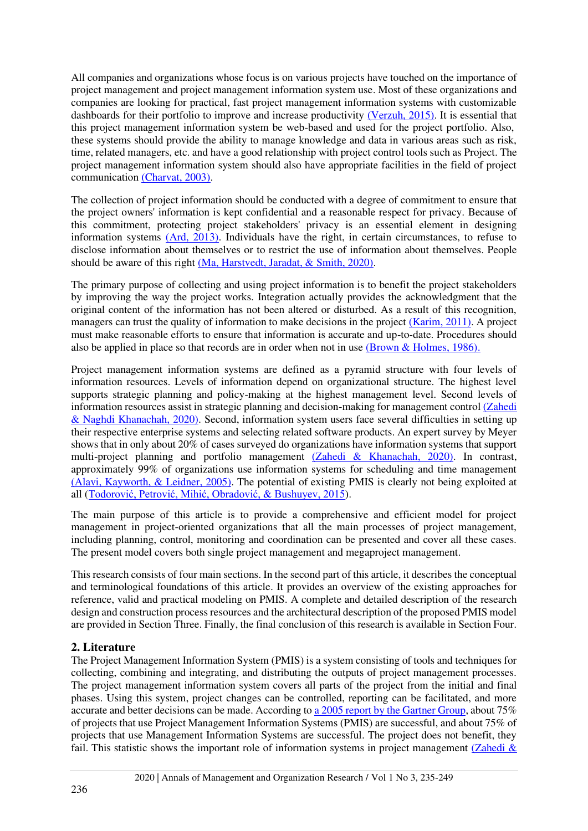All companies and organizations whose focus is on various projects have touched on the importance of project management and project management information system use. Most of these organizations and companies are looking for practical, fast project management information systems with customizable dashboards for their portfolio to improve and increase productivity [\(Verzuh, 2015\).](#page-14-1) It is essential that this project management information system be web-based and used for the project portfolio. Also, these systems should provide the ability to manage knowledge and data in various areas such as risk, time, related managers, etc. and have a good relationship with project control tools such as Project. The project management information system should also have appropriate facilities in the field of project communication [\(Charvat, 2003\).](#page-12-0)

The collection of project information should be conducted with a degree of commitment to ensure that the project owners' information is kept confidential and a reasonable respect for privacy. Because of this commitment, protecting project stakeholders' privacy is an essential element in designing information systems [\(Ard, 2013\).](#page-12-1) Individuals have the right, in certain circumstances, to refuse to disclose information about themselves or to restrict the use of information about themselves. People should be aware of this right [\(Ma, Harstvedt, Jaradat, & Smith, 2020\).](#page-13-3)

The primary purpose of collecting and using project information is to benefit the project stakeholders by improving the way the project works. Integration actually provides the acknowledgment that the original content of the information has not been altered or disturbed. As a result of this recognition, managers can trust the quality of information to make decisions in the project [\(Karim, 2011\).](#page-13-4) A project must make reasonable efforts to ensure that information is accurate and up-to-date. Procedures should also be applied in place so that records are in order when not in use [\(Brown & Holmes, 1986\).](#page-12-2)

Project management information systems are defined as a pyramid structure with four levels of information resources. Levels of information depend on organizational structure. The highest level supports strategic planning and policy-making at the highest management level. Second levels of information resources assist in strategic planning and decision-making for management control [\(Zahedi](#page-14-2)  & Naghdi Khanachah, 2020). Second, information system users face several difficulties in setting up their respective enterprise systems and selecting related software products. An expert survey by Meyer shows that in only about 20% of cases surveyed do organizations have information systems that support multi-project planning and portfolio management [\(Zahedi & Khanachah, 2020\).](#page-14-0) In contrast, approximately 99% of organizations use information systems for scheduling and time management [\(Alavi, Kayworth, & Leidner, 2005\).](#page-12-3) The potential of existing PMIS is clearly not being exploited at all ([Todorović, Petrović, Mihić, Obradović, & Bushuyev, 2015](#page-14-3)).

The main purpose of this article is to provide a comprehensive and efficient model for project management in project-oriented organizations that all the main processes of project management, including planning, control, monitoring and coordination can be presented and cover all these cases. The present model covers both single project management and megaproject management.

This research consists of four main sections. In the second part of this article, it describes the conceptual and terminological foundations of this article. It provides an overview of the existing approaches for reference, valid and practical modeling on PMIS. A complete and detailed description of the research design and construction process resources and the architectural description of the proposed PMIS model are provided in Section Three. Finally, the final conclusion of this research is available in Section Four.

## **2. Literature**

The Project Management Information System (PMIS) is a system consisting of tools and techniques for collecting, combining and integrating, and distributing the outputs of project management processes. The project management information system covers all parts of the project from the initial and final phases. Using this system, project changes can be controlled, reporting can be facilitated, and more accurate and better decisions can be made. According t[o a 2005 report by the Gartner Group,](#page-13-5) about 75% of projects that use Project Management Information Systems (PMIS) are successful, and about 75% of projects that use Management Information Systems are successful. The project does not benefit, they fail. This statistic shows the important role of information systems in project management (Zahedi &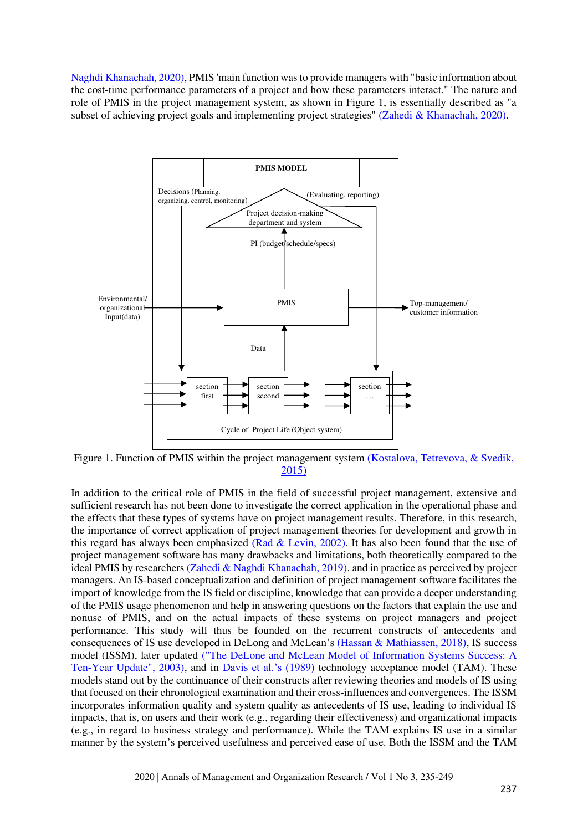Naghdi Khanachah, 2020), PMIS 'main function was to provide managers with "basic information about the cost-time performance parameters of a project and how these parameters interact." The nature and role of PMIS in the project management system, as shown in Figure 1, is essentially described as "a subset of achieving project goals and implementing project strategies" [\(Zahedi & Khanachah, 2020\).](#page-14-2)



Figure 1. Function of PMIS within the project management system (Kostalova, Tetrevova, & Svedik, 2015)

In addition to the critical role of PMIS in the field of successful project management, extensive and sufficient research has not been done to investigate the correct application in the operational phase and the effects that these types of systems have on project management results. Therefore, in this research, the importance of correct application of project management theories for development and growth in this regard has always been emphasized [\(Rad & Levin, 2002\).](#page-13-7) It has also been found that the use of project management software has many drawbacks and limitations, both theoretically compared to the ideal PMIS by researchers [\(Zahedi & Naghdi Khanachah, 2019\).](#page-14-4) and in practice as perceived by project managers. An IS-based conceptualization and definition of project management software facilitates the import of knowledge from the IS field or discipline, knowledge that can provide a deeper understanding of the PMIS usage phenomenon and help in answering questions on the factors that explain the use and nonuse of PMIS, and on the actual impacts of these systems on project managers and project performance. This study will thus be founded on the recurrent constructs of antecedents and consequences of IS use developed in DeLong and McLean's [\(Hassan & Mathiassen, 2018\),](#page-13-8) IS success model (ISSM), later updated ("The DeLone and McLean Model of Information Systems Success: A Ten-Year Update", 2003), and in [Davis et al.'s \(1989\)](#page-13-9) technology acceptance model (TAM). These models stand out by the continuance of their constructs after reviewing theories and models of IS using that focused on their chronological examination and their cross-influences and convergences. The ISSM incorporates information quality and system quality as antecedents of IS use, leading to individual IS impacts, that is, on users and their work (e.g., regarding their effectiveness) and organizational impacts (e.g., in regard to business strategy and performance). While the TAM explains IS use in a similar manner by the system's perceived usefulness and perceived ease of use. Both the ISSM and the TAM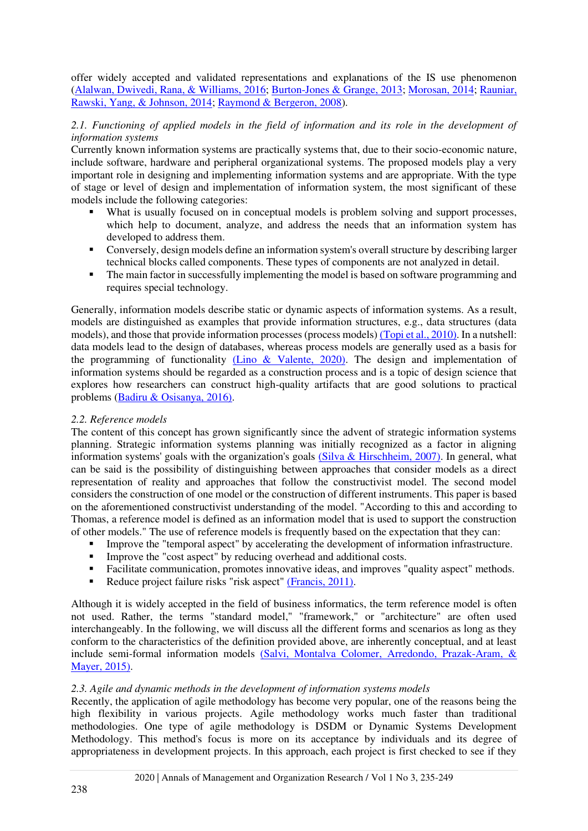offer widely accepted and validated representations and explanations of the IS use phenomenon [\(Alalwan, Dwivedi, Rana, & Williams, 2016;](#page-12-4) [Burton-Jones & Grange, 2013;](#page-12-5) [Morosan, 2014;](#page-13-10) [Rauniar,](#page-13-11)  [Rawski, Yang, & Johnson, 2014;](#page-13-11) [Raymond & Bergeron, 2008\)](#page-13-12).

## *2.1. Functioning of applied models in the field of information and its role in the development of information systems*

Currently known information systems are practically systems that, due to their socio-economic nature, include software, hardware and peripheral organizational systems. The proposed models play a very important role in designing and implementing information systems and are appropriate. With the type of stage or level of design and implementation of information system, the most significant of these models include the following categories:

- What is usually focused on in conceptual models is problem solving and support processes, which help to document, analyze, and address the needs that an information system has developed to address them.
- Conversely, design models define an information system's overall structure by describing larger technical blocks called components. These types of components are not analyzed in detail .
- The main factor in successfully implementing the model is based on software programming and requires special technology.

Generally, information models describe static or dynamic aspects of information systems. As a result, models are distinguished as examples that provide information structures, e.g., data structures (data models), and those that provide information processes (process models[\) \(Topi et al., 2010\).](#page-14-5) In a nutshell: data models lead to the design of databases, whereas process models are generally used as a basis for the programming of functionality [\(Lino & Valente, 2020\).](#page-13-13) The design and implementation of information systems should be regarded as a construction process and is a topic of design science that explores how researchers can construct high-quality artifacts that are good solutions to practical problems [\(Badiru & Osisanya, 2016\).](#page-12-6)

#### *2.2. Reference models*

The content of this concept has grown significantly since the advent of strategic information systems planning. Strategic information systems planning was initially recognized as a factor in aligning information systems' goals with the organization's goals [\(Silva & Hirschheim, 2007\).](#page-13-14) In general, what can be said is the possibility of distinguishing between approaches that consider models as a direct representation of reality and approaches that follow the constructivist model. The second model considers the construction of one model or the construction of different instruments. This paper is based on the aforementioned constructivist understanding of the model. "According to this and according to Thomas, a reference model is defined as an information model that is used to support the construction of other models." The use of reference models is frequently based on the expectation that they can:

- Improve the "temporal aspect" by accelerating the development of information infrastructure.<br>■ Improve the "cost aspect" by reducing overhead and additional costs.
- Improve the "cost aspect" by reducing overhead and additional costs.
- Facilitate communication, promotes innovative ideas, and improves "quality aspect" methods.
- Reduce project failure risks "risk aspect" (Francis, 2011).

Although it is widely accepted in the field of business informatics, the term reference model is often not used. Rather, the terms "standard model," "framework," or "architecture" are often used interchangeably. In the following, we will discuss all the different forms and scenarios as long as they conform to the characteristics of the definition provided above, are inherently conceptual, and at least include semi-formal information models [\(Salvi, Montalva Colomer, Arredondo, Prazak-Aram, &](#page-13-15)  Mayer, 2015).

#### *2.3. Agile and dynamic methods in the development of information systems models*

Recently, the application of agile methodology has become very popular, one of the reasons being the high flexibility in various projects. Agile methodology works much faster than traditional methodologies. One type of agile methodology is DSDM or Dynamic Systems Development Methodology. This method's focus is more on its acceptance by individuals and its degree of appropriateness in development projects. In this approach, each project is first checked to see if they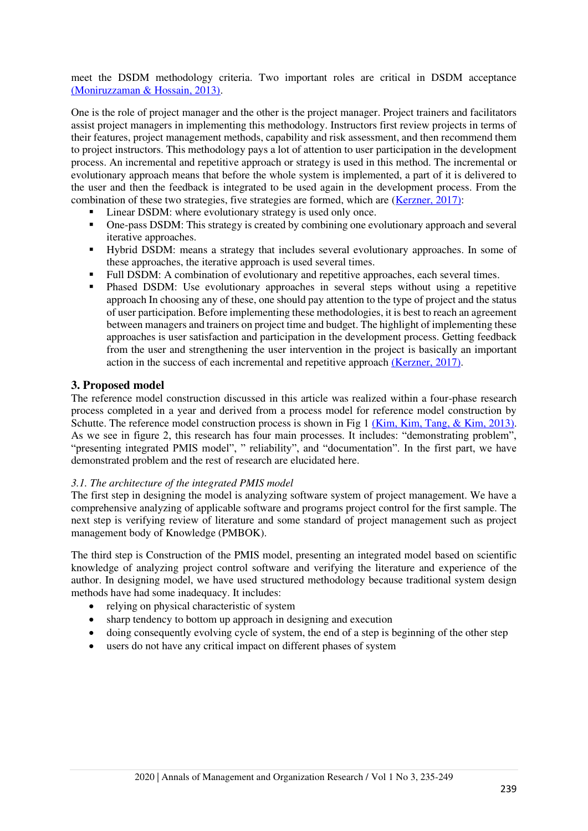meet the DSDM methodology criteria. Two important roles are critical in DSDM acceptance [\(Moniruzzaman & Hossain, 2013\).](#page-13-16)

One is the role of project manager and the other is the project manager. Project trainers and facilitators assist project managers in implementing this methodology. Instructors first review projects in terms of their features, project management methods, capability and risk assessment, and then recommend them to project instructors. This methodology pays a lot of attention to user participation in the development process. An incremental and repetitive approach or strategy is used in this method. The incremental or evolutionary approach means that before the whole system is implemented, a part of it is delivered to the user and then the feedback is integrated to be used again in the development process. From the combination of these two strategies, five strategies are formed, which are [\(Kerzner, 2017\):](#page-13-17)

- Linear DSDM: where evolutionary strategy is used only once.
- One-pass DSDM: This strategy is created by combining one evolutionary approach and several iterative approaches.
- Hybrid DSDM: means a strategy that includes several evolutionary approaches. In some of these approaches, the iterative approach is used several times.
- Full DSDM: A combination of evolutionary and repetitive approaches, each several times.
- Phased DSDM: Use evolutionary approaches in several steps without using a repetitive approach In choosing any of these, one should pay attention to the type of project and the status of user participation. Before implementing these methodologies, it is best to reach an agreement between managers and trainers on project time and budget. The highlight of implementing these approaches is user satisfaction and participation in the development process. Getting feedback from the user and strengthening the user intervention in the project is basically an important action in the success of each incremental and repetitive approach [\(Kerzner, 2017\).](#page-13-17)

#### **3. Proposed model**

The reference model construction discussed in this article was realized within a four-phase research process completed in a year and derived from a process model for reference model construction by Schutte. The reference model construction process is shown in Fig 1 [\(Kim, Kim, Tang, & Kim, 2013\).](#page-13-18) As we see in figure 2, this research has four main processes. It includes: "demonstrating problem", "presenting integrated PMIS model", " reliability", and "documentation". In the first part, we have demonstrated problem and the rest of research are elucidated here.

#### *3.1. The architecture of the integrated PMIS model*

The first step in designing the model is analyzing software system of project management. We have a comprehensive analyzing of applicable software and programs project control for the first sample. The next step is verifying review of literature and some standard of project management such as project management body of Knowledge (PMBOK).

The third step is Construction of the PMIS model, presenting an integrated model based on scientific knowledge of analyzing project control software and verifying the literature and experience of the author. In designing model, we have used structured methodology because traditional system design methods have had some inadequacy. It includes:

- relying on physical characteristic of system
- sharp tendency to bottom up approach in designing and execution
- doing consequently evolving cycle of system, the end of a step is beginning of the other step
- users do not have any critical impact on different phases of system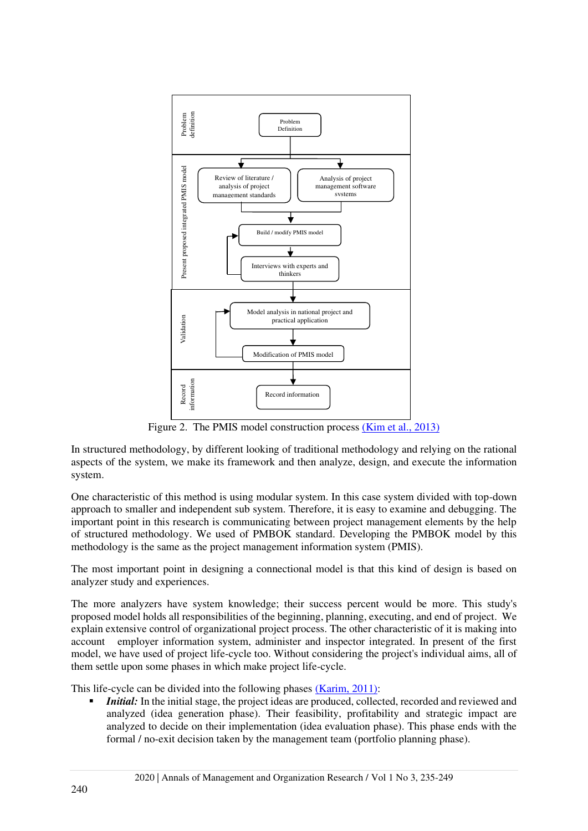

Figure 2. The PMIS model construction proces[s \(Kim et al., 2013\)](#page-13-18)

In structured methodology, by different looking of traditional methodology and relying on the rational aspects of the system, we make its framework and then analyze, design, and execute the information system.

One characteristic of this method is using modular system. In this case system divided with top-down approach to smaller and independent sub system. Therefore, it is easy to examine and debugging. The important point in this research is communicating between project management elements by the help of structured methodology. We used of PMBOK standard. Developing the PMBOK model by this methodology is the same as the project management information system (PMIS).

The most important point in designing a connectional model is that this kind of design is based on analyzer study and experiences.

The more analyzers have system knowledge; their success percent would be more. This study's proposed model holds all responsibilities of the beginning, planning, executing, and end of project. We explain extensive control of organizational project process. The other characteristic of it is making into account employer information system, administer and inspector integrated. In present of the first model, we have used of project life-cycle too. Without considering the project's individual aims, all of them settle upon some phases in which make project life-cycle.

This life-cycle can be divided into the following phases [\(Karim, 2011\):](#page-13-4)

*Initial:* In the initial stage, the project ideas are produced, collected, recorded and reviewed and analyzed (idea generation phase). Their feasibility, profitability and strategic impact are analyzed to decide on their implementation (idea evaluation phase). This phase ends with the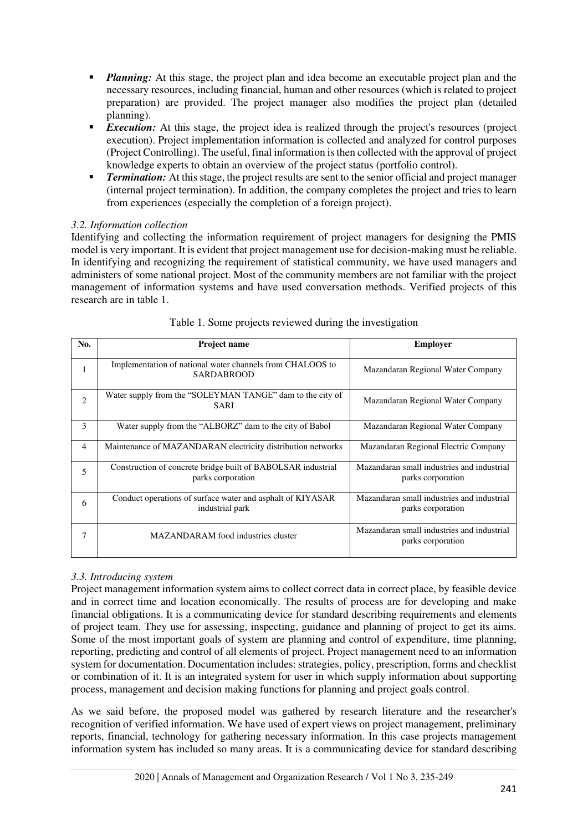- *Planning:* At this stage, the project plan and idea become an executable project plan and the necessary resources, including financial, human and other resources (which is related to project preparation) are provided. The project manager also modifies the project plan (detailed planning).
- **Execution:** At this stage, the project idea is realized through the project's resources (project execution). Project implementation information is collected and analyzed for control purposes (Project Controlling). The useful, final information is then collected with the approval of project knowledge experts to obtain an overview of the project status (portfolio control).
- *Termination:* At this stage, the project results are sent to the senior official and project manager (internal project termination). In addition, the company completes the project and tries to learn from experiences (especially the completion of a foreign project).

## *3.2. Information collection*

Identifying and collecting the information requirement of project managers for designing the PMIS model is very important. It is evident that project management use for decision-making must be reliable. In identifying and recognizing the requirement of statistical community, we have used managers and administers of some national project. Most of the community members are not familiar with the project management of information systems and have used conversation methods. Verified projects of this research are in table 1.

| No.            | <b>Project name</b>                                                               | <b>Employer</b>                                                 |
|----------------|-----------------------------------------------------------------------------------|-----------------------------------------------------------------|
|                | Implementation of national water channels from CHALOOS to<br><b>SARDABROOD</b>    | Mazandaran Regional Water Company                               |
| $\overline{c}$ | Water supply from the "SOLEYMAN TANGE" dam to the city of<br><b>SARI</b>          | Mazandaran Regional Water Company                               |
| 3              | Water supply from the "ALBORZ" dam to the city of Babol                           | Mazandaran Regional Water Company                               |
| 4              | Maintenance of MAZANDARAN electricity distribution networks                       | Mazandaran Regional Electric Company                            |
| 5              | Construction of concrete bridge built of BABOLSAR industrial<br>parks corporation | Mazandaran small industries and industrial<br>parks corporation |
| 6              | Conduct operations of surface water and asphalt of KIYASAR<br>industrial park     | Mazandaran small industries and industrial<br>parks corporation |
|                | MAZANDARAM food industries cluster                                                | Mazandaran small industries and industrial<br>parks corporation |

## Table 1. Some projects reviewed during the investigation

## *3.3. Introducing system*

Project management information system aims to collect correct data in correct place, by feasible device and in correct time and location economically. The results of process are for developing and make financial obligations. It is a communicating device for standard describing requirements and elements of project team. They use for assessing, inspecting, guidance and planning of project to get its aims. Some of the most important goals of system are planning and control of expenditure, time planning, reporting, predicting and control of all elements of project. Project management need to an information system for documentation. Documentation includes: strategies, policy, prescription, forms and checklist or combination of it. It is an integrated system for user in which supply information about supporting process, management and decision making functions for planning and project goals control.

As we said before, the proposed model was gathered by research literature and the researcher's recognition of verified information. We have used of expert views on project management, preliminary reports, financial, technology for gathering necessary information. In this case projects management information system has included so many areas. It is a communicating device for standard describing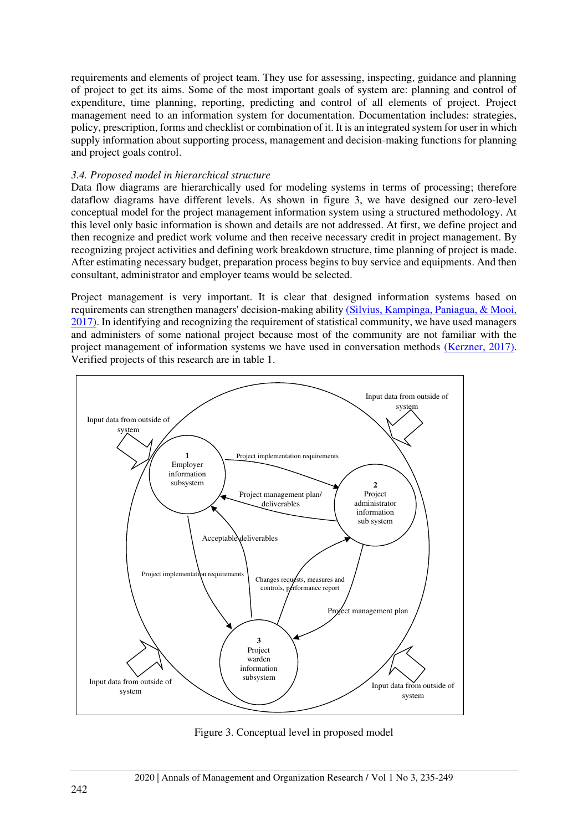requirements and elements of project team. They use for assessing, inspecting, guidance and planning of project to get its aims. Some of the most important goals of system are: planning and control of expenditure, time planning, reporting, predicting and control of all elements of project. Project management need to an information system for documentation. Documentation includes: strategies, policy, prescription, forms and checklist or combination of it. It is an integrated system for user in which supply information about supporting process, management and decision-making functions for planning and project goals control.

#### *3.4. Proposed model in hierarchical structure*

Data flow diagrams are hierarchically used for modeling systems in terms of processing; therefore dataflow diagrams have different levels. As shown in figure 3, we have designed our zero-level conceptual model for the project management information system using a structured methodology. At this level only basic information is shown and details are not addressed. At first, we define project and then recognize and predict work volume and then receive necessary credit in project management. By recognizing project activities and defining work breakdown structure, time planning of project is made. After estimating necessary budget, preparation process begins to buy service and equipments. And then consultant, administrator and employer teams would be selected.

Project management is very important. It is clear that designed information systems based on requirements can strengthen managers' decision-making abilit[y \(Silvius, Kampinga, Paniagua, & Mooi,](#page-13-19)  2017). In identifying and recognizing the requirement of statistical community, we have used managers and administers of some national project because most of the community are not familiar with the project management of information systems we have used in conversation methods [\(Kerzner, 2017\).](#page-13-17) Verified projects of this research are in table 1.



Figure 3. Conceptual level in proposed model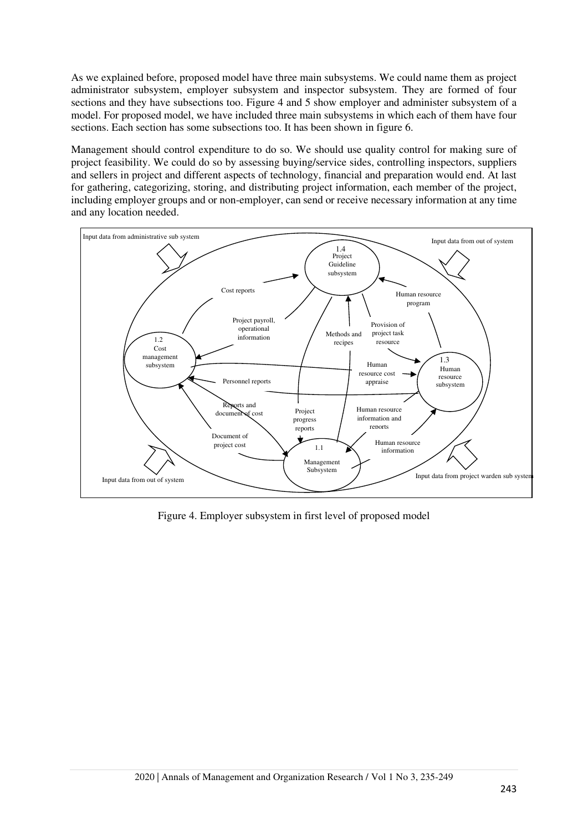As we explained before, proposed model have three main subsystems. We could name them as project administrator subsystem, employer subsystem and inspector subsystem. They are formed of four sections and they have subsections too. Figure 4 and 5 show employer and administer subsystem of a model. For proposed model, we have included three main subsystems in which each of them have four sections. Each section has some subsections too. It has been shown in figure 6.

Management should control expenditure to do so. We should use quality control for making sure of project feasibility. We could do so by assessing buying/service sides, controlling inspectors, suppliers and sellers in project and different aspects of technology, financial and preparation would end. At last for gathering, categorizing, storing, and distributing project information, each member of the project, including employer groups and or non-employer, can send or receive necessary information at any time and any location needed.



Figure 4. Employer subsystem in first level of proposed model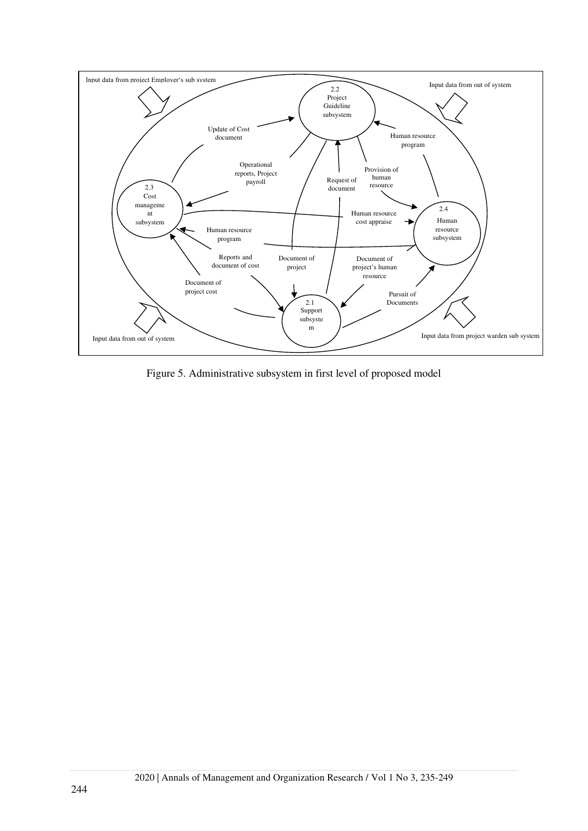

Figure 5. Administrative subsystem in first level of proposed model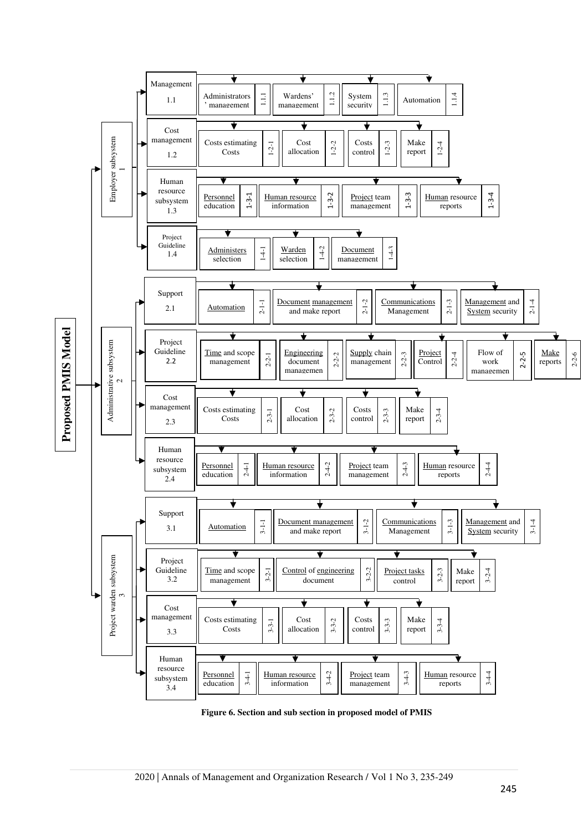

**Figure 6. Section and sub section in proposed model of PMIS**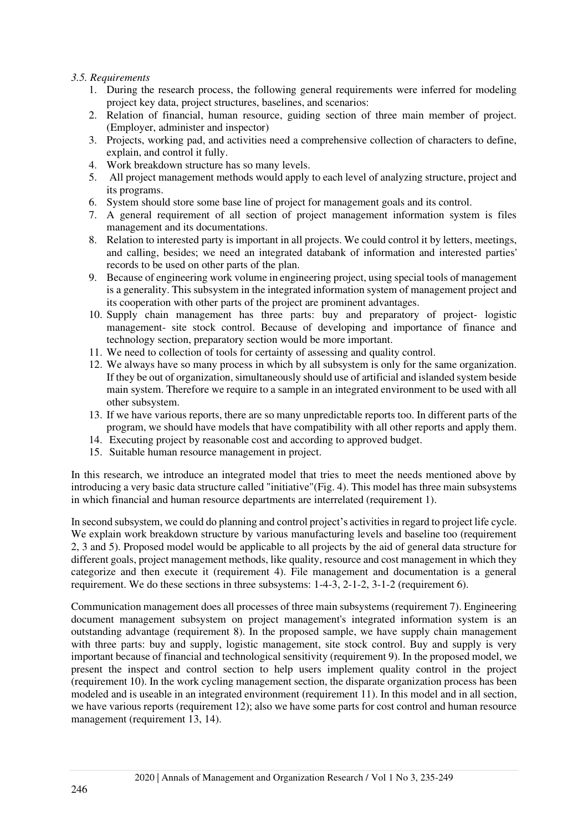#### *3.5. Requirements*

- 1. During the research process, the following general requirements were inferred for modeling project key data, project structures, baselines, and scenarios:
- 2. Relation of financial, human resource, guiding section of three main member of project. (Employer, administer and inspector)
- 3. Projects, working pad, and activities need a comprehensive collection of characters to define, explain, and control it fully.
- 4. Work breakdown structure has so many levels.
- 5. All project management methods would apply to each level of analyzing structure, project and its programs.
- 6. System should store some base line of project for management goals and its control.
- 7. A general requirement of all section of project management information system is files management and its documentations.
- 8. Relation to interested party is important in all projects. We could control it by letters, meetings, and calling, besides; we need an integrated databank of information and interested parties' records to be used on other parts of the plan.
- 9. Because of engineering work volume in engineering project, using special tools of management is a generality. This subsystem in the integrated information system of management project and its cooperation with other parts of the project are prominent advantages.
- 10. Supply chain management has three parts: buy and preparatory of project- logistic management- site stock control. Because of developing and importance of finance and technology section, preparatory section would be more important.
- 11. We need to collection of tools for certainty of assessing and quality control.
- 12. We always have so many process in which by all subsystem is only for the same organization. If they be out of organization, simultaneously should use of artificial and islanded system beside main system. Therefore we require to a sample in an integrated environment to be used with all other subsystem.
- 13. If we have various reports, there are so many unpredictable reports too. In different parts of the program, we should have models that have compatibility with all other reports and apply them.
- 14. Executing project by reasonable cost and according to approved budget.
- 15. Suitable human resource management in project.

In this research, we introduce an integrated model that tries to meet the needs mentioned above by introducing a very basic data structure called "initiative"(Fig. 4). This model has three main subsystems in which financial and human resource departments are interrelated (requirement 1).

In second subsystem, we could do planning and control project's activities in regard to project life cycle. We explain work breakdown structure by various manufacturing levels and baseline too (requirement 2, 3 and 5). Proposed model would be applicable to all projects by the aid of general data structure for different goals, project management methods, like quality, resource and cost management in which they categorize and then execute it (requirement 4). File management and documentation is a general requirement. We do these sections in three subsystems: 1-4-3, 2-1-2, 3-1-2 (requirement 6).

Communication management does all processes of three main subsystems (requirement 7). Engineering document management subsystem on project management's integrated information system is an outstanding advantage (requirement 8). In the proposed sample, we have supply chain management with three parts: buy and supply, logistic management, site stock control. Buy and supply is very important because of financial and technological sensitivity (requirement 9). In the proposed model, we present the inspect and control section to help users implement quality control in the project (requirement 10). In the work cycling management section, the disparate organization process has been modeled and is useable in an integrated environment (requirement 11). In this model and in all section, we have various reports (requirement 12); also we have some parts for cost control and human resource management (requirement 13, 14).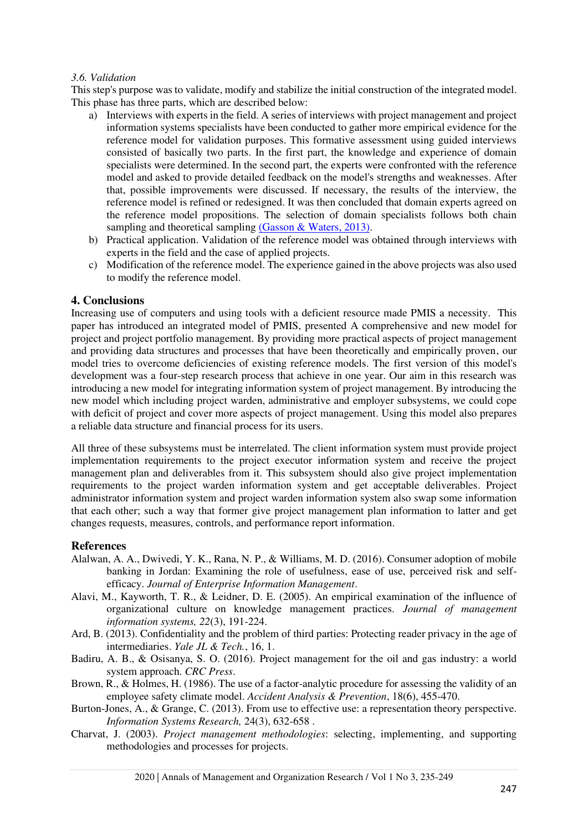#### *3.6. Validation*

This step's purpose was to validate, modify and stabilize the initial construction of the integrated model. This phase has three parts, which are described below:

- a) Interviews with experts in the field. A series of interviews with project management and project information systems specialists have been conducted to gather more empirical evidence for the reference model for validation purposes. This formative assessment using guided interviews consisted of basically two parts. In the first part, the knowledge and experience of domain specialists were determined. In the second part, the experts were confronted with the reference model and asked to provide detailed feedback on the model's strengths and weaknesses. After that, possible improvements were discussed. If necessary, the results of the interview, the reference model is refined or redesigned. It was then concluded that domain experts agreed on the reference model propositions. The selection of domain specialists follows both chain sampling and theoretical sampling [\(Gasson & Waters, 2013\).](#page-13-20)
- b) Practical application. Validation of the reference model was obtained through interviews with experts in the field and the case of applied projects.
- c) Modification of the reference model. The experience gained in the above projects was also used to modify the reference model.

#### **4. Conclusions**

Increasing use of computers and using tools with a deficient resource made PMIS a necessity. This paper has introduced an integrated model of PMIS, presented A comprehensive and new model for project and project portfolio management. By providing more practical aspects of project management and providing data structures and processes that have been theoretically and empirically proven, our model tries to overcome deficiencies of existing reference models. The first version of this model's development was a four-step research process that achieve in one year. Our aim in this research was introducing a new model for integrating information system of project management. By introducing the new model which including project warden, administrative and employer subsystems, we could cope with deficit of project and cover more aspects of project management. Using this model also prepares a reliable data structure and financial process for its users .

All three of these subsystems must be interrelated. The client information system must provide project implementation requirements to the project executor information system and receive the project management plan and deliverables from it. This subsystem should also give project implementation requirements to the project warden information system and get acceptable deliverables. Project administrator information system and project warden information system also swap some information that each other; such a way that former give project management plan information to latter and get changes requests, measures, controls, and performance report information.

#### **References**

- <span id="page-12-4"></span>Alalwan, A. A., Dwivedi, Y. K., Rana, N. P., & Williams, M. D. (2016). Consumer adoption of mobile banking in Jordan: Examining the role of usefulness, ease of use, perceived risk and selfefficacy. *Journal of Enterprise Information Management*.
- <span id="page-12-3"></span>Alavi, M., Kayworth, T. R., & Leidner, D. E. (2005). An empirical examination of the influence of organizational culture on knowledge management practices. *Journal of management information systems, 22*(3), 191-224.
- <span id="page-12-1"></span>Ard, B. (2013). Confidentiality and the problem of third parties: Protecting reader privacy in the age of intermediaries. *Yale JL & Tech.*, 16, 1.
- <span id="page-12-6"></span>Badiru, A. B., & Osisanya, S. O. (2016). Project management for the oil and gas industry: a world system approach. *CRC Press*.
- <span id="page-12-2"></span>Brown, R., & Holmes, H. (1986). The use of a factor-analytic procedure for assessing the validity of an employee safety climate model. *Accident Analysis & Prevention*, 18(6), 455-470.
- <span id="page-12-5"></span>Burton-Jones, A., & Grange, C. (2013). From use to effective use: a representation theory perspective. *Information Systems Research,* 24(3), 632-658 .
- <span id="page-12-0"></span>Charvat, J. (2003). *Project management methodologies*: selecting, implementing, and supporting methodologies and processes for projects.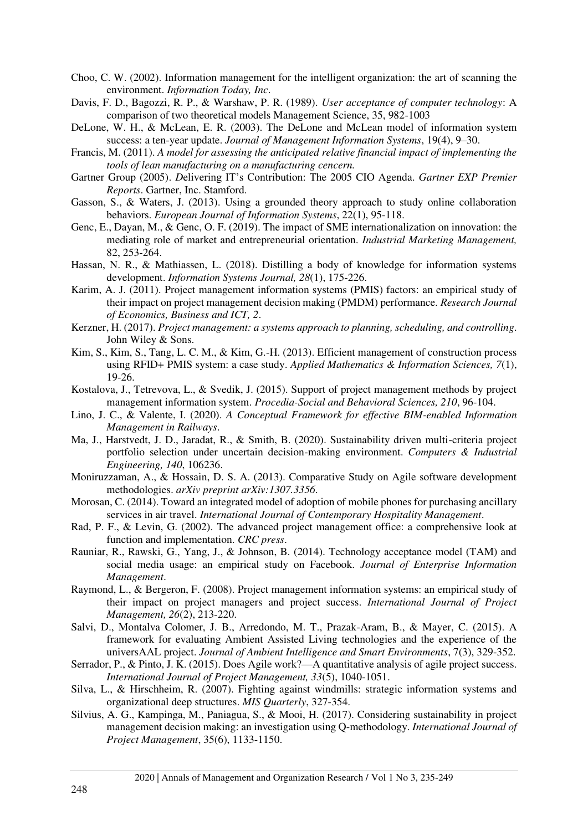- <span id="page-13-1"></span>Choo, C. W. (2002). Information management for the intelligent organization: the art of scanning the environment. *Information Today, Inc*.
- <span id="page-13-9"></span>Davis, F. D., Bagozzi, R. P., & Warshaw, P. R. (1989). *User acceptance of computer technology*: A comparison of two theoretical models Management Science, 35, 982-1003
- DeLone, W. H., & McLean, E. R. (2003). The DeLone and McLean model of information system success: a ten-year update. *Journal of Management Information Systems*, 19(4), 9–30.
- Francis, M. (2011). *A model for assessing the anticipated relative financial impact of implementing the tools of lean manufacturing on a manufacturing cencern.*
- <span id="page-13-5"></span>Gartner Group (2005). *D*elivering IT's Contribution: The 2005 CIO Agenda. *Gartner EXP Premier Reports*. Gartner, Inc. Stamford.
- <span id="page-13-20"></span>Gasson, S., & Waters, J. (2013). Using a grounded theory approach to study online collaboration behaviors. *European Journal of Information Systems*, 22(1), 95-118.
- <span id="page-13-0"></span>Genc, E., Dayan, M., & Genc, O. F. (2019). The impact of SME internationalization on innovation: the mediating role of market and entrepreneurial orientation. *Industrial Marketing Management,*  82, 253-264.
- <span id="page-13-8"></span>Hassan, N. R., & Mathiassen, L. (2018). Distilling a body of knowledge for information systems development. *Information Systems Journal, 28*(1), 175-226.
- <span id="page-13-4"></span>Karim, A. J. (2011). Project management information systems (PMIS) factors: an empirical study of their impact on project management decision making (PMDM) performance. *Research Journal of Economics, Business and ICT, 2*.
- <span id="page-13-17"></span>Kerzner, H. (2017). *Project management: a systems approach to planning, scheduling, and controlling*. John Wiley & Sons.
- <span id="page-13-18"></span>Kim, S., Kim, S., Tang, L. C. M., & Kim, G.-H. (2013). Efficient management of construction process using RFID+ PMIS system: a case study. *Applied Mathematics & Information Sciences, 7*(1), 19-26.
- <span id="page-13-6"></span>Kostalova, J., Tetrevova, L., & Svedik, J. (2015). Support of project management methods by project management information system. *Procedia-Social and Behavioral Sciences, 210*, 96-104.
- <span id="page-13-13"></span>Lino, J. C., & Valente, I. (2020). *A Conceptual Framework for effective BIM-enabled Information Management in Railways*.
- <span id="page-13-3"></span>Ma, J., Harstvedt, J. D., Jaradat, R., & Smith, B. (2020). Sustainability driven multi-criteria project portfolio selection under uncertain decision-making environment. *Computers & Industrial Engineering, 140*, 106236.
- <span id="page-13-16"></span>Moniruzzaman, A., & Hossain, D. S. A. (2013). Comparative Study on Agile software development methodologies. *arXiv preprint arXiv:1307.3356*.
- <span id="page-13-10"></span>Morosan, C. (2014). Toward an integrated model of adoption of mobile phones for purchasing ancillary services in air travel. *International Journal of Contemporary Hospitality Management*.
- <span id="page-13-7"></span>Rad, P. F., & Levin, G. (2002). The advanced project management office: a comprehensive look at function and implementation. *CRC press*.
- <span id="page-13-11"></span>Rauniar, R., Rawski, G., Yang, J., & Johnson, B. (2014). Technology acceptance model (TAM) and social media usage: an empirical study on Facebook. *Journal of Enterprise Information Management*.
- <span id="page-13-12"></span>Raymond, L., & Bergeron, F. (2008). Project management information systems: an empirical study of their impact on project managers and project success. *International Journal of Project Management, 26*(2), 213-220.
- <span id="page-13-15"></span>Salvi, D., Montalva Colomer, J. B., Arredondo, M. T., Prazak-Aram, B., & Mayer, C. (2015). A framework for evaluating Ambient Assisted Living technologies and the experience of the universAAL project. *Journal of Ambient Intelligence and Smart Environments*, 7(3), 329-352.
- <span id="page-13-2"></span>Serrador, P., & Pinto, J. K. (2015). Does Agile work?—A quantitative analysis of agile project success. *International Journal of Project Management, 33*(5), 1040-1051.
- <span id="page-13-14"></span>Silva, L., & Hirschheim, R. (2007). Fighting against windmills: strategic information systems and organizational deep structures. *MIS Quarterly*, 327-354.
- <span id="page-13-19"></span>Silvius, A. G., Kampinga, M., Paniagua, S., & Mooi, H. (2017). Considering sustainability in project management decision making: an investigation using Q-methodology. *International Journal of Project Management*, 35(6), 1133-1150.